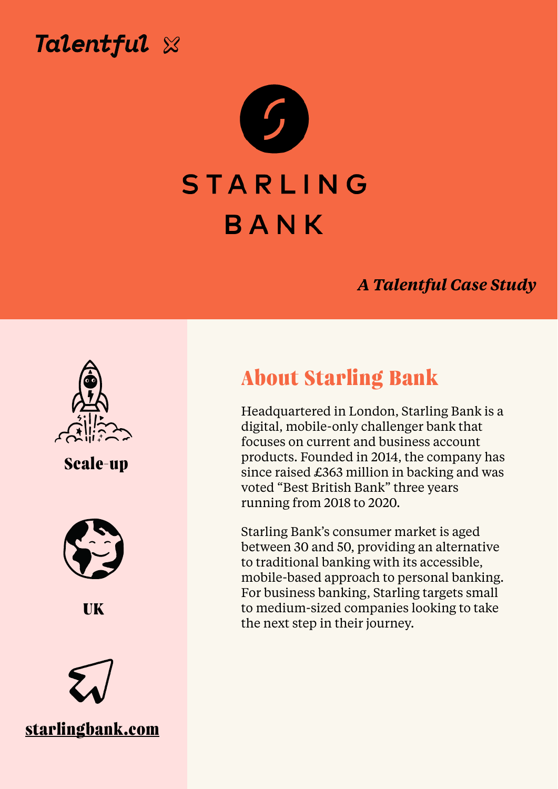



## STARLING

# BANK

#### *A Talentful Case Study*



**About Starling Bank** 

Headquartered in London, Starling Bank is a digital, mobile-only challenger bank that focuses on current and business account products. Founded in 2014, the company has since raised £363 million in backing and was voted "Best British Bank" three years running from 2018 to 2020.

Starling Bank's consumer market is aged between 30 and 50, providing an alternative to traditional banking with its accessible, mobile-based approach to personal banking. For business banking, Starling targets small to medium-sized companies looking to take the next step in their journey.



## **Scale-up**



**UK**

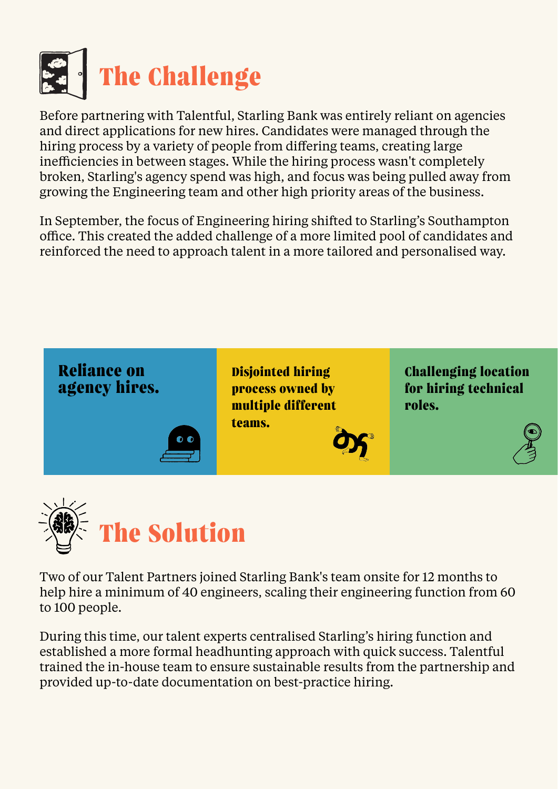

Before partnering with Talentful, Starling Bank was entirely reliant on agencies and direct applications for new hires. Candidates were managed through the hiring process by a variety of people from differing teams, creating large inefficiencies in between stages. While the hiring process wasn't completely broken, Starling's agency spend was high, and focus was being pulled away from growing the Engineering team and other high priority areas of the business.

In September, the focus of Engineering hiring shifted to Starling's Southampton office. This created the added challenge of a more limited pool of candidates and reinforced the need to approach talent in a more tailored and personalised way.



Two of our Talent Partners joined Starling Bank's team onsite for 12 months to help hire a minimum of 40 engineers, scaling their engineering function from 60

#### to 100 people.

During this time, our talent experts centralised Starling's hiring function and established a more formal headhunting approach with quick success. Talentful trained the in-house team to ensure sustainable results from the partnership and provided up-to-date documentation on best-practice hiring.

**Reliance on agency hires.**

**Disjointed hiring process owned by** 



**Challenging location for hiring technical**